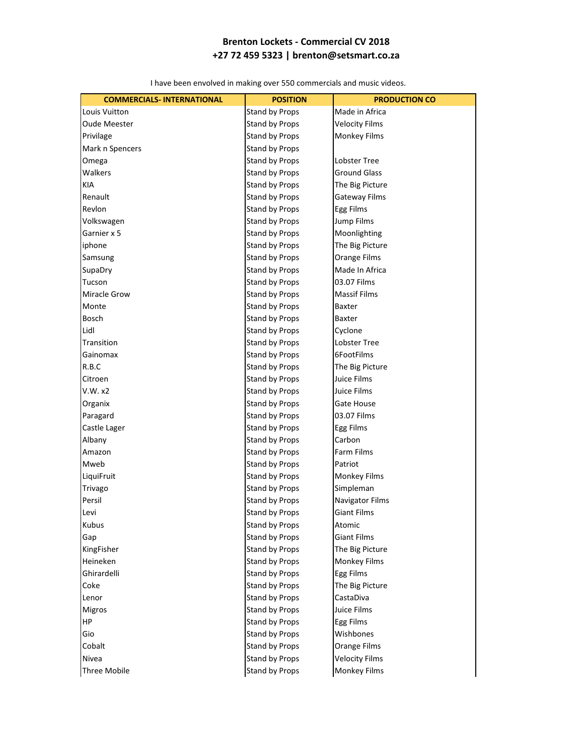| <b>COMMERCIALS-INTERNATIONAL</b> | <b>POSITION</b>       | <b>PRODUCTION CO</b>  |
|----------------------------------|-----------------------|-----------------------|
| Louis Vuitton                    | Stand by Props        | Made in Africa        |
| Oude Meester                     | Stand by Props        | <b>Velocity Films</b> |
| Privilage                        | Stand by Props        | <b>Monkey Films</b>   |
| Mark n Spencers                  | Stand by Props        |                       |
| Omega                            | <b>Stand by Props</b> | <b>Lobster Tree</b>   |
| Walkers                          | Stand by Props        | <b>Ground Glass</b>   |
| <b>KIA</b>                       | <b>Stand by Props</b> | The Big Picture       |
| Renault                          | Stand by Props        | Gateway Films         |
| Revlon                           | <b>Stand by Props</b> | Egg Films             |
| Volkswagen                       | <b>Stand by Props</b> | Jump Films            |
| Garnier x 5                      | <b>Stand by Props</b> | Moonlighting          |
| iphone                           | Stand by Props        | The Big Picture       |
| Samsung                          | Stand by Props        | Orange Films          |
| SupaDry                          | Stand by Props        | Made In Africa        |
| Tucson                           | <b>Stand by Props</b> | 03.07 Films           |
| Miracle Grow                     | <b>Stand by Props</b> | <b>Massif Films</b>   |
| Monte                            | <b>Stand by Props</b> | <b>Baxter</b>         |
| Bosch                            | <b>Stand by Props</b> | <b>Baxter</b>         |
| Lidl                             | <b>Stand by Props</b> | Cyclone               |
| Transition                       | Stand by Props        | Lobster Tree          |
| Gainomax                         | Stand by Props        | 6FootFilms            |
| R.B.C                            | Stand by Props        | The Big Picture       |
| Citroen                          | Stand by Props        | Juice Films           |
| V.W. x2                          | <b>Stand by Props</b> | Juice Films           |
| Organix                          | <b>Stand by Props</b> | Gate House            |
| Paragard                         | <b>Stand by Props</b> | 03.07 Films           |
| Castle Lager                     | <b>Stand by Props</b> | Egg Films             |
| Albany                           | Stand by Props        | Carbon                |
| Amazon                           | Stand by Props        | <b>Farm Films</b>     |
| Mweb                             | <b>Stand by Props</b> | Patriot               |
| LiquiFruit                       | Stand by Props        | Monkey Films          |
| Trivago                          | <b>Stand by Props</b> | Simpleman             |
| Persil                           | <b>Stand by Props</b> | Navigator Films       |
| Levi                             | Stand by Props        | <b>Giant Films</b>    |
| Kubus                            | <b>Stand by Props</b> | Atomic                |
| Gap                              | <b>Stand by Props</b> | <b>Giant Films</b>    |
| KingFisher                       | Stand by Props        | The Big Picture       |
| Heineken                         | Stand by Props        | Monkey Films          |
| Ghirardelli                      | Stand by Props        | Egg Films             |
| Coke                             | <b>Stand by Props</b> | The Big Picture       |
| Lenor                            | <b>Stand by Props</b> | CastaDiva             |
| Migros                           | <b>Stand by Props</b> | Juice Films           |
| HP                               | <b>Stand by Props</b> | Egg Films             |
| Gio                              | <b>Stand by Props</b> | Wishbones             |
| Cobalt                           | <b>Stand by Props</b> | Orange Films          |
| Nivea                            | Stand by Props        | <b>Velocity Films</b> |
| Three Mobile                     | Stand by Props        | Monkey Films          |

I have been envolved in making over 550 commercials and music videos.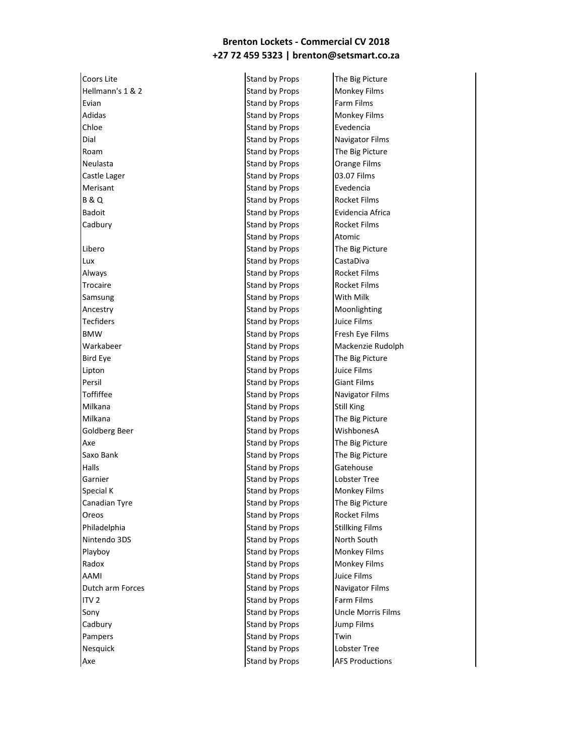Coors Lite **Stand by Props** The Big Picture Hellmann's 1 & 2 Stand by Props Monkey Films Evian **Existence Contract Evian Stand by Props** Farm Films Adidas **Stand by Props** Monkey Films **Chloe** Stand by Props Evedencia Dial Dial Stand by Props Navigator Films Roam Stand by Props The Big Picture Neulasta **Neulasta** Stand by Props **Orange Films** Orange Films Castle Lager **Stand by Props** 03.07 Films Merisant **Stand by Props** Evedencia B & Q Stand by Props Rocket Films Badoit **Stand by Props** Evidencia Africa Cadbury **Stand by Props** Rocket Films Libero Stand by Props The Big Picture Lux **Stand by Props** CastaDiva Always **Stand by Props** Rocket Films Trocaire **Stand by Props** Rocket Films Samsung Samsung Stand by Props With Milk Ancestry **Stand by Props** Moonlighting Tecfiders **Stand by Props** Juice Films BMW **Stand by Props** Fresh Eye Films Warkabeer **Stand by Props** Mackenzie Rudolph Bird Eye Stand by Props The Big Picture Lipton **Stand by Props** Juice Films **Persil** Stand by Props **Giant Films** Toffiffee Stand by Props Navigator Films Milkana **Stand by Props** Stand by Props Still King Milkana **Stand by Props** The Big Picture Goldberg Beer **Stand by Props** WishbonesA Axe Stand by Props The Big Picture Saxo Bank Saxo Bank Stand by Props The Big Picture Halls **Halls** Stand by Props Gatehouse Garnier **Stand by Props** Constants Lobster Tree Special K Special K Stand by Props Monkey Films Canadian Tyre **Stand by Props** The Big Picture Oreos **Stand by Props** Rocket Films Philadelphia **Stand by Props** Stand by Props Stillking Films Nintendo 3DS Stand by Props North South Playboy **No. 2018** Stand by Props Monkey Films Radox **Radox** Stand by Props Monkey Films AAMI Stand by Props Juice Films Dutch arm Forces **Stand by Props** Navigator Films ITV 2 **ITV 2** Stand by Props Farm Films Sony Sony Stand by Props Uncle Morris Films Cadbury **Stand by Props** Jump Films Pampers **Pampers Pampers Pampers Pampers Pampers Pampers Pampers Pampers Pampers Pampers Pampers Pampers Pampers Pampers Pampers Pampers Pampers Pampers Pampers Pampers Pampers Pam** Nesquick **Nesquick** Stand by Props **Lobster Tree** Axe Stand by Props AFS Productions

Stand by Props Atomic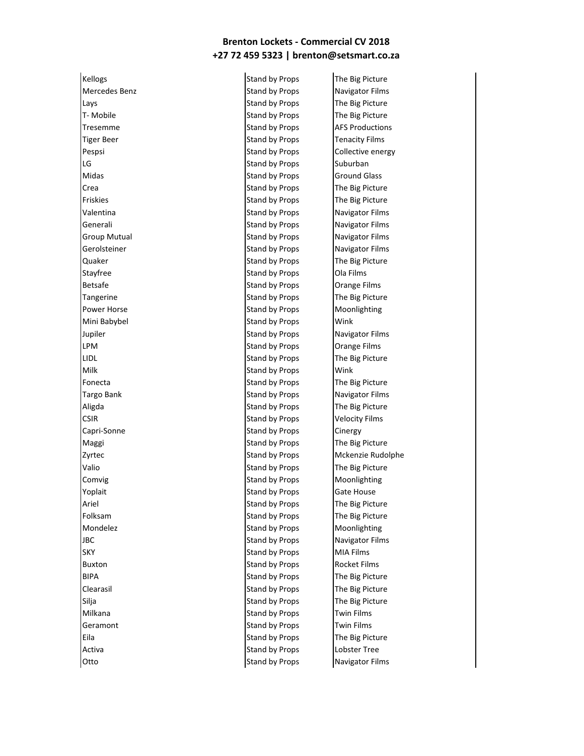Mercedes Benz Navigator Films Lays **Stand by Props** The Big Picture T- Mobile **The Big Picture** Stand by Props The Big Picture Tresemme Stand by Props AFS Productions Tiger Beer Stand by Props Tenacity Films LG Stand by Props Suburban Midas **Stand by Props** Ground Glass **Crea** Stand by Props The Big Picture Friskies **Friskies** Stand by Props The Big Picture Valentina **National Stand by Props** Navigator Films Generali **Stand by Props** Navigator Films Group Mutual **Stand by Props** Navigator Films Gerolsteiner **Stand by Props** Navigator Films Quaker **Stand by Props** The Big Picture Stayfree Stayfree Stand by Props Cola Films Betsafe **Stand by Props COLLEGE STANDARY STANDARY STANDARY STANDARY STANDARY STANDARY STANDARY STANDARY STANDARY STANDARY STANDARY STANDARY STANDARY STANDARY STANDARY STANDARY STANDARY STANDARY STANDARY STANDARY STANDARY** Tangerine **Tangerine** Stand by Props The Big Picture Power Horse **No. 2018** Stand by Props Moonlighting Mini Babybel **Stand by Props** Wink Jupiler **Navigator Stand by Props** Navigator Films LPM **Stand by Props Orange Films** LIDL **Stand by Props** The Big Picture Milk **Stand by Props** Wink Fonecta **Stand by Props** The Big Picture Targo Bank **Stand by Props** Navigator Films Aligda **Stand by Props** The Big Picture CSIR CSIR CSIR Stand by Props Velocity Films Capri-Sonne **Stand by Props** Cinergy Maggi **Maggi Stand by Props** The Big Picture Valio **Stand by Props** The Big Picture Comvig Comvig Comvigned Computer Stand by Props Moonlighting Yoplait **Stand by Props** Gate House Ariel **Stand by Props** The Big Picture Folksam Stand by Props The Big Picture Mondelez **Moonlighting** Stand by Props Moonlighting **JBC** Stand by Props Navigator Films SKY SKY SKY STAND STAND STAND STAND STAND STANDARD STANDARD STANDARD STANDARD STANDARD STANDARD STANDARD STANDARD STANDARD STANDARD STANDARD STANDARD STANDARD STANDARD STANDARD STANDARD STANDARD STANDARD STANDARD STANDARD Buxton **Buxton** Stand by Props Rocket Films BIPA BIPA Stand by Props The Big Picture Clearasil Clearasil Clearasil Clearasil Clearasil Clearasil Clearasil Clearasil Clearasil Clearasil Clearasil Silja Silja Summar Silja Stand by Props The Big Picture Milkana **Stand by Props** Twin Films Geramont **Stand by Props** Twin Films Eila **Stand by Props** The Big Picture Activa Activa Contract Contract Active Active Active Active Active Active Active Active Active Active Active A **Otto** Stand by Props Navigator Films

Kellogs **Stand by Props** The Big Picture

Pespsi **Stand by Props** Collective energy Zyrtec **No. 2018** Stand by Props Mckenzie Rudolphe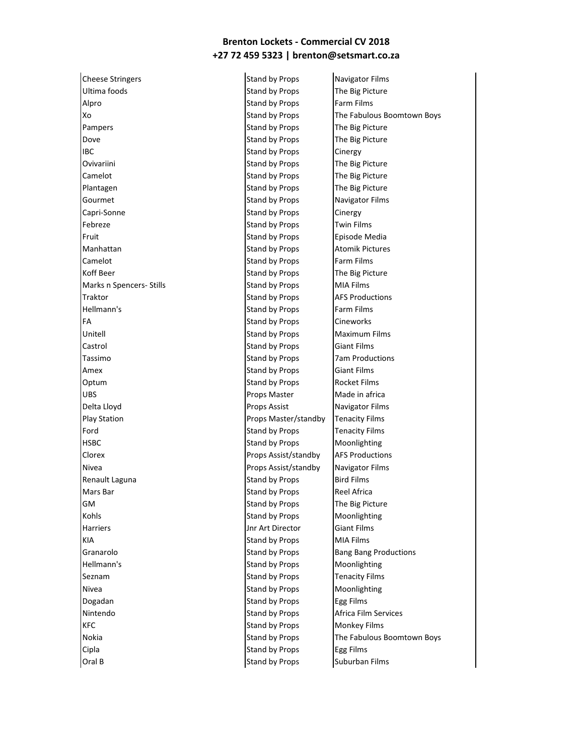Cheese Stringers **Stand by Props** Navigator Films Ultima foods **Stand by Props** The Big Picture Alpro **Stand by Props** Farm Films Pampers **Pampers** Stand by Props The Big Picture Dove **Stand by Props** The Big Picture IBC **IBC** Stand by Props **Cinergy Ovivariini** Covivariini Stand by Props The Big Picture Camelot **Stand by Props** The Big Picture Plantagen **Stand by Props** The Big Picture Gourmet **Stand by Props** Navigator Films Capri-Sonne **Stand by Props** Cinergy Febreze **Stand by Props** Twin Films Fruit **Example 2 Fruit Stand by Props** Episode Media Manhattan **Stand by Props** Atomik Pictures Atomic Pictures Atomic Pictures Atomic Pictures Camelot **Camelot** Stand by Props Farm Films Koff Beer Stand by Props The Big Picture Marks n Spencers- Stills Stand by Props MIA Films Traktor **Stand by Props** AFS Productions AFS Productions AFS Productions AFS Productions Hellmann's **Stand by Props** Farm Films **FA** Stand by Props Cineworks Unitell **Unitell** Stand by Props Maximum Films **Castrol** Castrol Castrol Castrol Castrol Castrol Castrol Castrol Castrol Castrol Castrol Castrol Castrol Castrol Castrol Castrol Castrol Castrol Castrol Castrol Castrol Castrol Castrol Castrol Castrol Castrol Castrol Cast Tassimo **Stand by Props** 7am Productions Amex Giant Films Stand by Props Giant Films Optum Stand by Props Procket Films UBS UPS Props Master Made in africa Delta Lloyd **Props Assist** Navigator Films Play Station **Props Master/standby** Tenacity Films Ford **Ford** Stand by Props **Tenacity Films** HSBC **Stand by Props** Moonlighting **Clorex Props Assist/standby AFS Productions** Nivea **Props Assist/standby Navigator Films** Renault Laguna **Stand by Props** Bird Films Mars Bar Stand by Props Reel Africa GM GM Stand by Props The Big Picture Kohls **Stand by Props** Moonlighting Harriers **Harriers** Jnr Art Director **Giant Films** KIA Stand by Props MIA Films Granarolo **Stand by Props** Bang Bang Productions Hellmann's **Stand by Props** Moonlighting Seznam Seznam Stand by Props Tenacity Films Nivea **Nitional Stand by Props** Moonlighting Dogadan **Stand by Props** Egg Films Nintendo **Stand by Props** Africa Film Services KFC **Stand by Props** Monkey Films Cipla **Stand by Props** Egg Films **Oral B** Stand by Props Suburban Films

Xo Stand by Props The Fabulous Boomtown Boys Nokia Stand by Props The Fabulous Boomtown Boys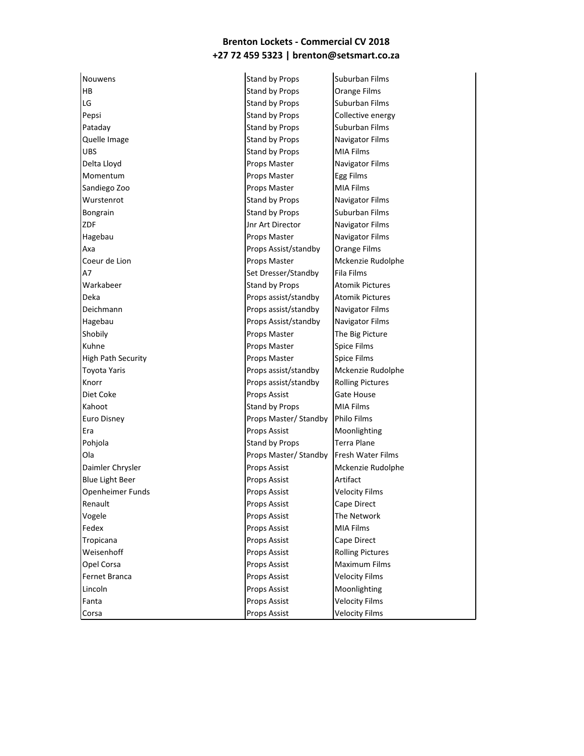HB Stand by Props Crange Films LG Stand by Props Suburban Films Pepsi **Pepsi Stand by Props** Collective energy Pataday **Stand by Props** Suburban Films Quelle Image **Stand by Props** Navigator Films UBS UBS **Stand by Props** MIA Films Delta Lloyd **Props Master** Props Master **Navigator Films** Momentum **Props Master** Egg Films Sandiego Zoo **Props Master** MIA Films Wurstenrot **National Stand by Props** Navigator Films Bongrain **Stand by Props** Suburban Films ZDF Jnr Art Director Navigator Films Hagebau **Navigator Films** Props Master Navigator Films Axa **Props Assist/standby Orange Films** Coeur de Lion **Natural Props Master** Mckenzie Rudolphe A7 Set Dresser/Standby Fila Films Warkabeer **Stand by Props** Atomik Pictures Deka **Props assist/standby Atomik Pictures** Deichmann **Props assist/standby** Navigator Films Hagebau Props Assist/standby Navigator Films Shobily **Props Master** The Big Picture Kuhne **Example 2018** Props Master **Props Master** Spice Films High Path Security **Access 19 To Props Master** Spice Films Toyota Yaris Props assist/standby Mckenzie Rudolphe Knorr **Props assist/standby Rolling Pictures** Diet Coke **Props Assist** Gate House Kahoot **Stand by Props** MIA Films Euro Disney **Props Master/ Standby Philo Films** Era **Props Assist** Moonlighting Pohjola **Stand by Props** Terra Plane Ola **Props Master/ Standby Fresh Water Films** Daimler Chrysler **Props Assist** Mckenzie Rudolphe Blue Light Beer **Props Assist** Artifact Openheimer Funds **Props Assist** Velocity Films Renault **Renault Renault Props Assist Cape Direct** Vogele **Props Assist** The Network Fedex **Props Assist** MIA Films Tropicana **Props Assist** Cape Direct Weisenhoff **Props Assist** Rolling Pictures Opel Corsa **Props Assist** Maximum Films Fernet Branca **Props Assist** Velocity Films Lincoln **Props Assist** Moonlighting Fanta **Props Assist** Velocity Films

Nouwens **Stand by Props** Suburban Films **Corsa** Props Assist **Props Assist** Velocity Films